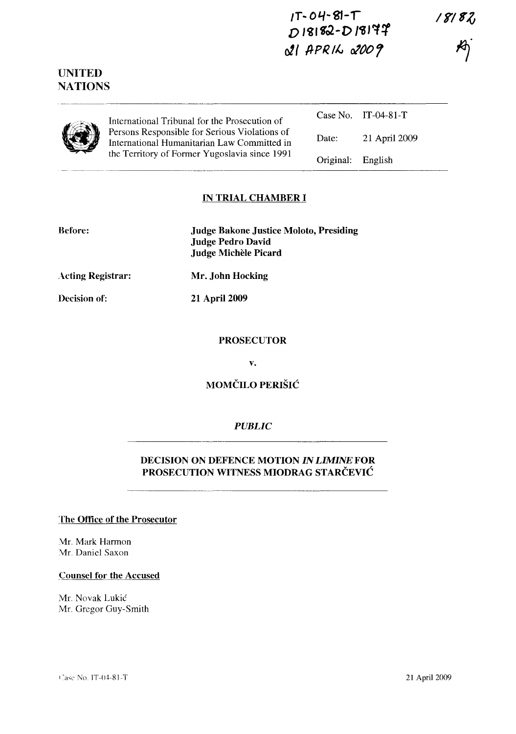18182

**/T- o4-S1-'**  D 18182-D 18177 **021 /J-PR** I~ **olI)O** *7* 

**R** 



**UNITED NATIONS** 

> International Tribunal for the Prosecution of Persons Responsible for Serious Violations of International Humanitarian Law Committed in the Territory of Former Yugoslavia since 1991 Case No. IT-04-81-T Date: 21 April 2009 Original: English

# **IN TRIAL CHAMBER I**

--------------------------------------------------------------------

| <b>Before:</b>           | <b>Judge Bakone Justice Moloto, Presiding</b><br><b>Judge Pedro David</b><br>Judge Michèle Picard |
|--------------------------|---------------------------------------------------------------------------------------------------|
| <b>Acting Registrar:</b> | Mr. John Hocking                                                                                  |

**Decision of:** 

**21 April 2009** 

## **PROSECUTOR**

**v.** 

**MOMČILO PERIŠIĆ** 

## *PUBLIC*

## **DECISION ON DEFENCE MOTION** *IN LIMINE* **FOR PROSECUTION WITNESS MIODRAG STARČEVIĆ**

## **The Office of the Prosecutor**

Mr. Mark Harmon Mr. Daniel Saxon

#### **Counsel for the Accused**

Mr. Novak Lukic Mr. Gregor Guy-Smith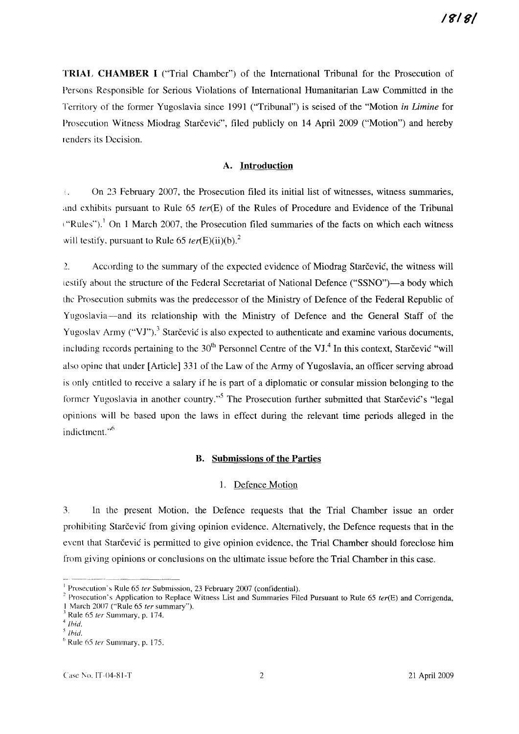TRIAl, CHAMBER I ("Trial Chamber") of the International Tribunal for the Prosecution of Persons Responsible for Serious Violations of International Humanitarian Law Committed in the Territory of the former Yugoslavia since 1991 ("Tribunal") is seised of the "Motion *in Limine* for Prosecution Witness Miodrag Starčević", filed publicly on 14 April 2009 ("Motion") and hereby renders its Decision.

## A. Introduction

On 23 February 2007, the Prosecution filed its initial list of witnesses, witness summaries, ŧ. and exhibits pursuant to Rule  $65$  ter(E) of the Rules of Procedure and Evidence of the Tribunal  $i$ "Rules").<sup>1</sup> On 1 March 2007, the Prosecution filed summaries of the facts on which each witness will testify. pursuant to Rule 65  $ter(E)(ii)(b)<sup>2</sup>$ .

2. According to the summary of the expected evidence of Miodrag Starcevic, the witness will testify about the structure of the Federal Secretariat of National Defence ("SSNO")-a body which Lhe Prosecution submits was the predecessor of the Ministry of Defence of the Federal Republic of Yugoslavia-and its relationship with the Ministry of Defence and the General Staff of the Yugoslav Army ("VJ").<sup>3</sup> Starčević is also expected to authenticate and examine various documents, including records pertaining to the  $30<sup>th</sup>$  Personnel Centre of the VJ.<sup>4</sup> In this context, Starcevic "will also opine that under [Article] 331 of the Law of the Army of Yugoslavia, an officer serving abroad is only entitled to receive a salary if he is part of a diplomatic or consular mission belonging to the former Yugoslavia in another country."<sup>5</sup> The Prosecution further submitted that Starcevic's "legal opinions will be based upon the laws in effect during the relevant time periods alleged in the indictment."<sup>6</sup>

#### B. Submissions of the Parties

#### 1. Defence Motion

3. in the present Motion, the Defence requests that the Trial Chamber issue an order prohibiting Starčević from giving opinion evidence. Alternatively, the Defence requests that in the event that Starčević is permitted to give opinion evidence, the Trial Chamber should foreclose him from giving opinions or conclusions on the ultimate issue before the Trial Chamber in this case.

<sup>&</sup>lt;sup>1</sup> Prosecution's Rule 65 *ter* Submission, 23 February 2007 (confidential).

<sup>&</sup>lt;sup>2</sup> Prosecution's Application to Replace Witness List and Summaries Filed Pursuant to Rule 65 *ter*(E) and Corrigenda,

<sup>1</sup> March 2007 ("Rule  $65$  ter summary").

Rule 65 ter Summary, p. 174.

 $<sup>4</sup>$  lbid.</sup>

 $5$  Ibid.

<sup>6</sup> Rule A5 *ter* Summary, p. 175.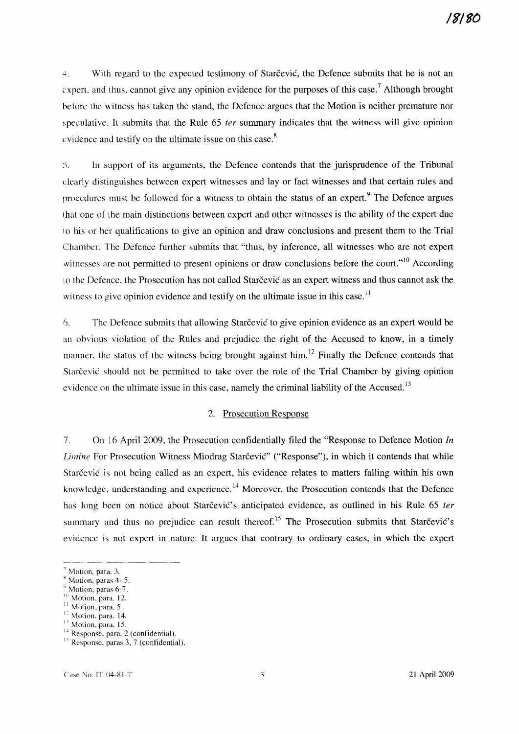<sup>4</sup>. With regard to the expected testimony of Starcevic, the Defence submits that he is not an expert, and thus, cannot give any opinion evidence for the purposes of this case.<sup>7</sup> Although brought before the witness has taken the stand, the Defence argues that the Motion is neither premature nor speculative. It submits that the Rule 65 *ter* summary indicates that the witness will give opinion  $e$  vidence and testify on the ultimate issue on this case.<sup>8</sup>

:1. In support of its arguments, the Defence contends that the jurisprudence of the Tribunal clearly distinguishes between expert witnesses and lay or fact witnesses and that certain rules and procedures must be followed for a witness to obtain the status of an expert.<sup>9</sup> The Defence argues that one of the main distinctions between expert and other witnesses is the ability of the expert due 10 his or her qualifications to give an opinion and draw conclusions and present them to the Trial Chamber. The Defence further submits that "thus, by inference, all witnesses who are not expert witnesses are not permitted to present opinions or draw conclusions before the court."<sup>10</sup> According to the Defence, the Prosecution has not called Starcevic as an expert witness and thus cannot ask the witness to give opinion evidence and testify on the ultimate issue in this case.<sup>11</sup>

6. The Defence submits that allowing Starcevic to give opinion evidence as an expert would be an obvious violation of the Rules and prejudice the right of the Accused to know, in a timely manner, the status of the witness being brought against him.<sup>12</sup> Finally the Defence contends that Starčević should not be permitted to take over the role of the Trial Chamber by giving opinion evidence on the ultimate issue in this case, namely the criminal liability of the Accused.<sup>13</sup>

#### 2. Prosecution Response

7. On 16 April 2009, the Prosecution confidentially filed the "Response to Defence Motion *In Limine* For Prosecution Witness Miodrag Starčević" ("Response"), in which it contends that while Starcevic is not being called as an expert, his evidence relates to matters falling within his own knowledge, understanding and experience.<sup>14</sup> Moreover, the Prosecution contends that the Defence has long been on notice about Starcevic's anticipated evidence, as outlined in his Rule 65 *ter* summary and thus no prejudice can result thereof.<sup>15</sup> The Prosecution submits that Starcevic's evidence is not expert in nature. It argues that contrary to ordinary cases, in which the expert

-----------------

 $<sup>7</sup>$  Motion, para. 3.</sup>

<sup>~</sup>Motion, paras 4- 5.

<sup>&</sup>lt;sup>9</sup> Motion, paras 6-7.

Motion, para. 12.

<sup>&</sup>lt;sup>11</sup> Motion, para. 5.

<sup>&</sup>lt;sup>12</sup> Motion, para. 14.

<sup>&</sup>lt;sup>13</sup> Motion, para. 15.

<sup>&</sup>lt;sup>14</sup> Response, para. 2 (confidential).

 $<sup>15</sup>$  Response, paras 3, 7 (confidential).</sup>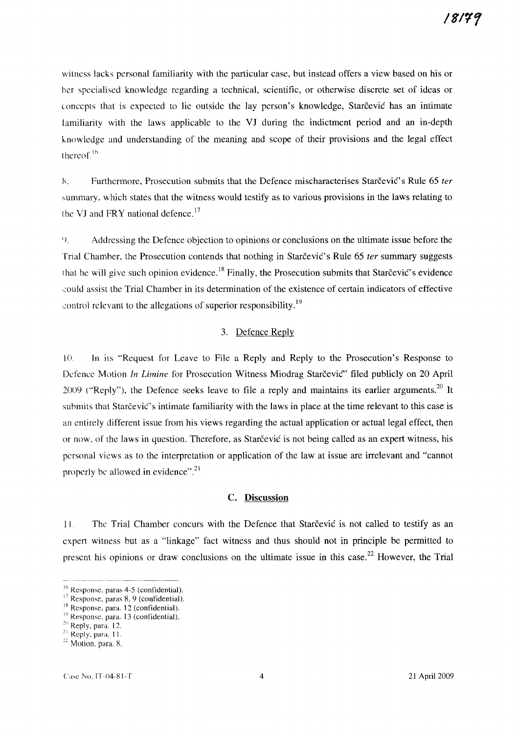witncss lacks personal familiarity with the particular case, but instead offers a view based on his or her specialised knowledge regarding a technical, scientific, or otherwise discrete set of ideas or (oncepts that is expected to lie outside the lay person's knowledge, Starcevic has an intimate 1amiliarity with the laws applicable to the VJ during the indictment period and an in-depth knowledge and understanding of the meaning and scope of their provisions and the legal effect thereof.<sup>16</sup>

8. Furthermore, Prosecution submits that the Defence mischaracterises Starcevic's Rule 65 ter summary, which states that the witness would testify as to various provisions in the laws relating to the VJ and FRY national defence.<sup>17</sup>

() Addressing the Defence objection to opinions or conclusions on the ultimate issue before the Trial Chamber, the Prosecution contends that nothing in Starčević's Rule 65 ter summary suggests that he will give such opinion evidence.<sup>18</sup> Finally, the Prosecution submits that Starcevic's evidence could assist the Trial Chamber in its determination of the existence of certain indicators of effective control relevant to the allegations of superior responsibility.<sup>19</sup>

## 3. Defence Reply

10. In its "Request for Leave to File a Reply and Reply to the Prosecution's Response to Defence Motion *In Limine* for Prosecution Witness Miodrag Starčevic<sup>"</sup> filed publicly on 20 April  $2009$  ("Reply"), the Defence seeks leave to file a reply and maintains its earlier arguments.<sup>20</sup> It submits that Starcevic's intimate familiarity with the laws in place at the time relevant to this case is an entirely different issue from his views regarding the actual application or actual legal effect, then or now, of the laws in question. Therefore, as Starcevic is not being called as an expert witness, his pcrsonal views as to the interpretation or application of the law at issue are irrelevant and "cannot properly be allowed in evidence".<sup>21</sup>

## C. Discussion

11. The Trial Chamber concurs with the Defence that Starcevic is not called to testify as an expert witness but as a "linkage" fact witness and thus should not in principle be permitted to present his opinions or draw conclusions on the ultimate issue in this case.<sup>22</sup> However, the Trial

 $16$  Response, paras 4-5 (confidential).

<sup>&</sup>lt;sup>17</sup> Response, paras 8, 9 (confidential).

 $18$  Response, para. 12 (confidential).

<sup>&</sup>lt;sup>19</sup> Response, para. 13 (confidential).

 $20$  Reply, para. 12.

<sup>&</sup>lt;sup>21</sup> Reply, para. 11.

<sup>&</sup>lt;sup>22</sup> Motion. para. 8.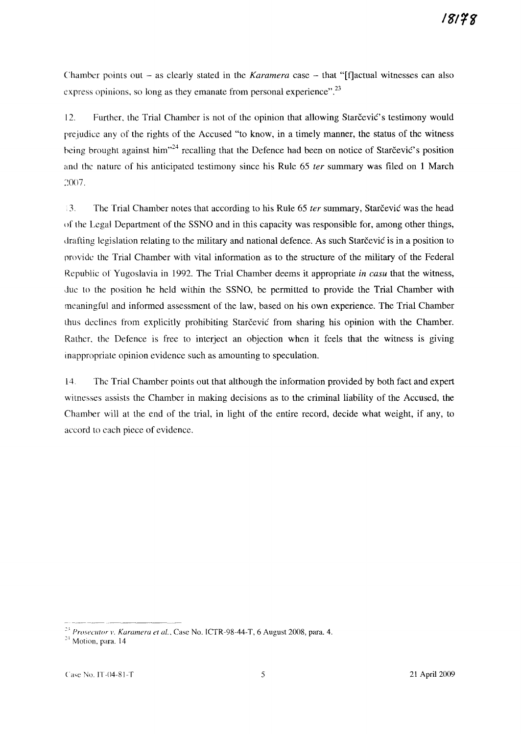Chamber points out - as clearly stated in the *Karamera* case - that "[f]actual witnesses can also express opinions, so long as they emanate from personal experience".<sup>23</sup>

12. Further, the Trial Chamber is not of the opinion that allowing Starcevic's testimony would prejudice any of the rights of the Accused "to know, in a timely manner, the status of the witness being brought against him<sup>324</sup> recalling that the Defence had been on notice of Starcevic's position and the nature of his anticipated testimony since his Rule 65 *ter* summary was filed on 1 March 2007.

3. The Trial Chamber notes that according to his Rule 65 *ter* summary, Starcevic was the head ()f the Legal Department of the SSNO and in this capacity was responsible for, among other things, drafting legislation relating to the military and national defence. As such Starčević is in a position to provide the Trial Chamber with vital information as to the structure of the military of the Federal Republic of Yugoslavia in 1992. The Trial Chamber deems it appropriate *in casu* that the witness, due to the position he held within the SSNO, be permitted to provide the Trial Chamber with meaningful and informed assessment of the law, based on his own experience. The Trial Chamber thus declines from explicitly prohibiting Starcevic from sharing his opinion with the Chamber. Rather, the Defence is free to interject an objection when it feels that the witness is giving inappropriate opinion evidence such as amounting to speculation.

14. The Trial Chamber points out that although the information provided by both fact and expert witnesses assists the Chamber in making decisions as to the criminal liability of the Accused, the Chamber will at the end of the trial, in light of the entire record, decide what weight, if any, to accord to each piece of evidence.

<sup>&</sup>lt;sup>23</sup> *Prosecutor v. Karamera et al.*, Case No. ICTR-98-44-T, 6 August 2008, para. 4. Motion, para. 14